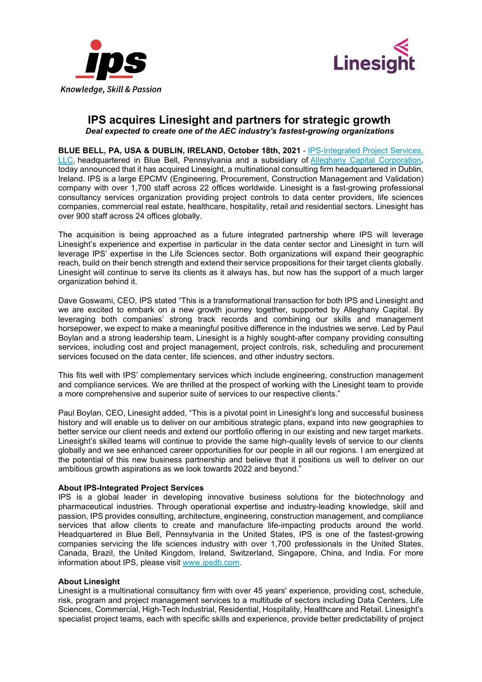



## **IPS acquires Linesight and partners for strategic growth** *Deal expected to create one of the AEC industry's fastest-growing organizations*

**BLUE BELL, PA, USA & DUBLIN, IRELAND, October 18th, 2021** - [IPS-Integrated Project Services,](https://www.ipsdb.com/)  [LLC,](https://www.ipsdb.com/) headquartered in Blue Bell, Pennsylvania and a subsidiary of [Alleghany Capital Corporation,](https://www.alleghanycc.com/) today announced that it has acquired Linesight, a multinational consulting firm headquartered in Dublin, Ireland. IPS is a large EPCMV (Engineering, Procurement, Construction Management and Validation) company with over 1,700 staff across 22 offices worldwide. Linesight is a fast-growing professional consultancy services organization providing project controls to data center providers, life sciences companies, commercial real estate, healthcare, hospitality, retail and residential sectors. Linesight has over 900 staff across 24 offices globally.

The acquisition is being approached as a future integrated partnership where IPS will leverage Linesight's experience and expertise in particular in the data center sector and Linesight in turn will leverage IPS' expertise in the Life Sciences sector. Both organizations will expand their geographic reach, build on their bench strength and extend their service propositions for their target clients globally. Linesight will continue to serve its clients as it always has, but now has the support of a much larger organization behind it.

Dave Goswami, CEO, IPS stated "This is a transformational transaction for both IPS and Linesight and we are excited to embark on a new growth journey together, supported by Alleghany Capital. By leveraging both companies' strong track records and combining our skills and management horsepower, we expect to make a meaningful positive difference in the industries we serve. Led by Paul Boylan and a strong leadership team, Linesight is a highly sought-after company providing consulting services, including cost and project management, project controls, risk, scheduling and procurement services focused on the data center, life sciences, and other industry sectors.

This fits well with IPS' complementary services which include engineering, construction management and compliance services. We are thrilled at the prospect of working with the Linesight team to provide a more comprehensive and superior suite of services to our respective clients."

Paul Boylan, CEO, Linesight added, "This is a pivotal point in Linesight's long and successful business history and will enable us to deliver on our ambitious strategic plans, expand into new geographies to better service our client needs and extend our portfolio offering in our existing and new target markets. Linesight's skilled teams will continue to provide the same high-quality levels of service to our clients globally and we see enhanced career opportunities for our people in all our regions. I am energized at the potential of this new business partnership and believe that it positions us well to deliver on our ambitious growth aspirations as we look towards 2022 and beyond."

## **About IPS-Integrated Project Services**

IPS is a global leader in developing innovative business solutions for the biotechnology and pharmaceutical industries. Through operational expertise and industry-leading knowledge, skill and passion, IPS provides consulting, architecture, engineering, construction management, and compliance services that allow clients to create and manufacture life-impacting products around the world. Headquartered in Blue Bell, Pennsylvania in the United States, IPS is one of the fastest-growing companies servicing the life sciences industry with over 1,700 professionals in the United States, Canada, Brazil, the United Kingdom, Ireland, Switzerland, Singapore, China, and India. For more information about IPS, please visit [www.ipsdb.com.](http://www.ipsdb.com/)

## **About Linesight**

Linesight is a multinational consultancy firm with over 45 years' experience, providing cost, schedule, risk, program and project management services to a multitude of sectors including Data Centers, Life Sciences, Commercial, High-Tech Industrial, Residential, Hospitality, Healthcare and Retail. Linesight's specialist project teams, each with specific skills and experience, provide better predictability of project